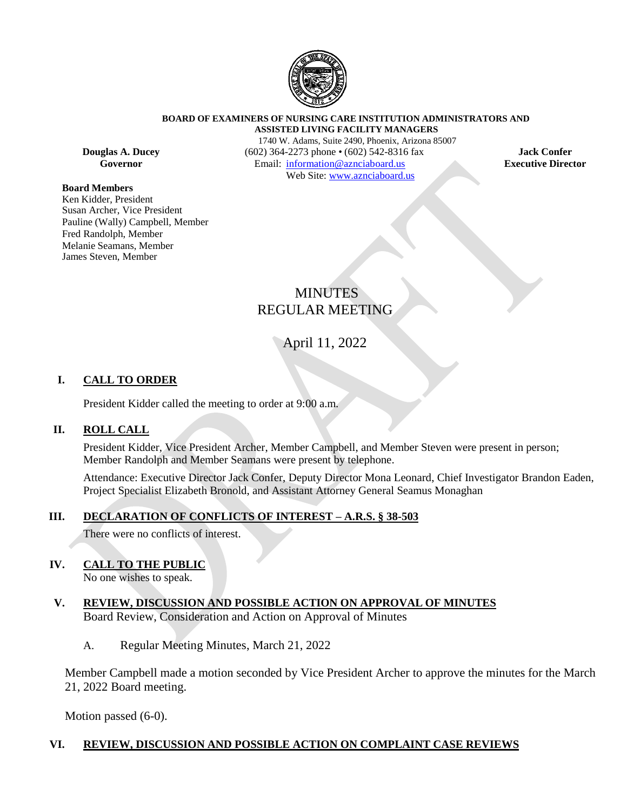

#### **BOARD OF EXAMINERS OF NURSING CARE INSTITUTION ADMINISTRATORS AND ASSISTED LIVING FACILITY MANAGERS**

#### **Board Members**

Ken Kidder, President Susan Archer, Vice President Pauline (Wally) Campbell, Member Fred Randolph, Member Melanie Seamans, Member James Steven, Member

1740 W. Adams, Suite 2490, Phoenix, Arizona 85007 **Douglas A. Ducey** (602) 364-2273 phone • (602) 542-8316 fax **Jack Confer**<br> **Governor** Email: information@aznciaboard.us **Executive Director Governor Email:**  $\frac{1}{2}$  **Email:**  $\frac{1}{2}$  **Email:**  $\frac{1}{2}$  **Director Director** Web Site: [www.aznciaboard.us](http://www.aznciaboard.us/)

## MINUTES REGULAR MEETING

## April 11, 2022

### **I. CALL TO ORDER**

President Kidder called the meeting to order at 9:00 a.m.

#### **II. ROLL CALL**

President Kidder, Vice President Archer, Member Campbell, and Member Steven were present in person; Member Randolph and Member Seamans were present by telephone.

Attendance: Executive Director Jack Confer, Deputy Director Mona Leonard, Chief Investigator Brandon Eaden, Project Specialist Elizabeth Bronold, and Assistant Attorney General Seamus Monaghan

#### **III. DECLARATION OF CONFLICTS OF INTEREST – A.R.S. § 38-503**

There were no conflicts of interest.

#### **IV. CALL TO THE PUBLIC**

No one wishes to speak.

### **V. REVIEW, DISCUSSION AND POSSIBLE ACTION ON APPROVAL OF MINUTES** Board Review, Consideration and Action on Approval of Minutes

A. Regular Meeting Minutes, March 21, 2022

Member Campbell made a motion seconded by Vice President Archer to approve the minutes for the March 21, 2022 Board meeting.

Motion passed (6-0).

#### **VI. REVIEW, DISCUSSION AND POSSIBLE ACTION ON COMPLAINT CASE REVIEWS**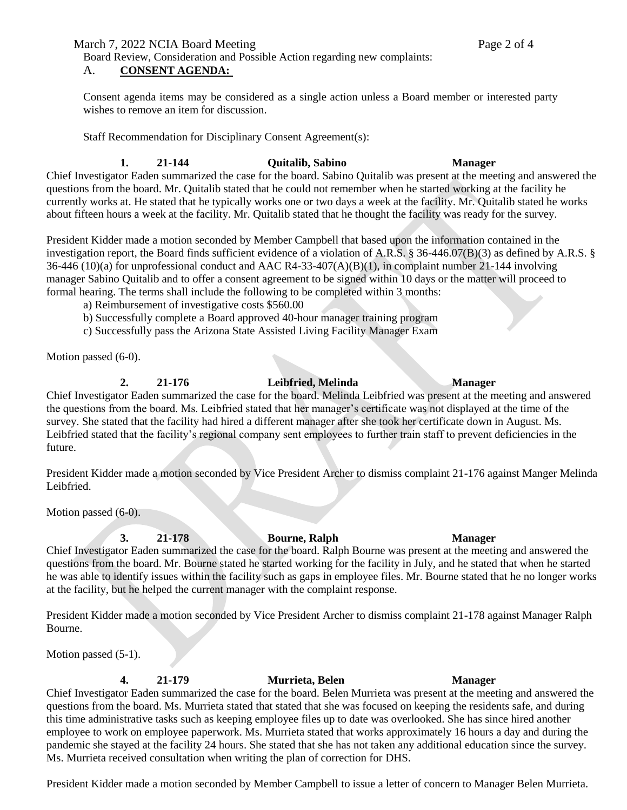March 7, 2022 NCIA Board Meeting

Board Review, Consideration and Possible Action regarding new complaints:

### A. **CONSENT AGENDA:**

Consent agenda items may be considered as a single action unless a Board member or interested party wishes to remove an item for discussion.

Staff Recommendation for Disciplinary Consent Agreement(s):

#### **1. 21-144 Quitalib, Sabino Manager**

Chief Investigator Eaden summarized the case for the board. Sabino Quitalib was present at the meeting and answered the questions from the board. Mr. Quitalib stated that he could not remember when he started working at the facility he currently works at. He stated that he typically works one or two days a week at the facility. Mr. Quitalib stated he works about fifteen hours a week at the facility. Mr. Quitalib stated that he thought the facility was ready for the survey.

President Kidder made a motion seconded by Member Campbell that based upon the information contained in the investigation report, the Board finds sufficient evidence of a violation of A.R.S. § 36-446.07(B)(3) as defined by A.R.S. § 36-446 (10)(a) for unprofessional conduct and AAC R4-33-407(A)(B)(1), in complaint number 21-144 involving manager Sabino Quitalib and to offer a consent agreement to be signed within 10 days or the matter will proceed to formal hearing. The terms shall include the following to be completed within 3 months:

- a) Reimbursement of investigative costs \$560.00
- b) Successfully complete a Board approved 40-hour manager training program
- c) Successfully pass the Arizona State Assisted Living Facility Manager Exam

Motion passed (6-0).

### **2. 21-176 Leibfried, Melinda Manager**

#### Chief Investigator Eaden summarized the case for the board. Melinda Leibfried was present at the meeting and answered the questions from the board. Ms. Leibfried stated that her manager's certificate was not displayed at the time of the survey. She stated that the facility had hired a different manager after she took her certificate down in August. Ms. Leibfried stated that the facility's regional company sent employees to further train staff to prevent deficiencies in the future.

President Kidder made a motion seconded by Vice President Archer to dismiss complaint 21-176 against Manger Melinda Leibfried.

Motion passed (6-0).

# **3. 21-178 Bourne, Ralph Manager**

Chief Investigator Eaden summarized the case for the board. Ralph Bourne was present at the meeting and answered the questions from the board. Mr. Bourne stated he started working for the facility in July, and he stated that when he started he was able to identify issues within the facility such as gaps in employee files. Mr. Bourne stated that he no longer works at the facility, but he helped the current manager with the complaint response.

President Kidder made a motion seconded by Vice President Archer to dismiss complaint 21-178 against Manager Ralph Bourne.

Motion passed (5-1).

### **4. 21-179 Murrieta, Belen Manager**

### Chief Investigator Eaden summarized the case for the board. Belen Murrieta was present at the meeting and answered the questions from the board. Ms. Murrieta stated that stated that she was focused on keeping the residents safe, and during this time administrative tasks such as keeping employee files up to date was overlooked. She has since hired another employee to work on employee paperwork. Ms. Murrieta stated that works approximately 16 hours a day and during the pandemic she stayed at the facility 24 hours. She stated that she has not taken any additional education since the survey. Ms. Murrieta received consultation when writing the plan of correction for DHS.

President Kidder made a motion seconded by Member Campbell to issue a letter of concern to Manager Belen Murrieta.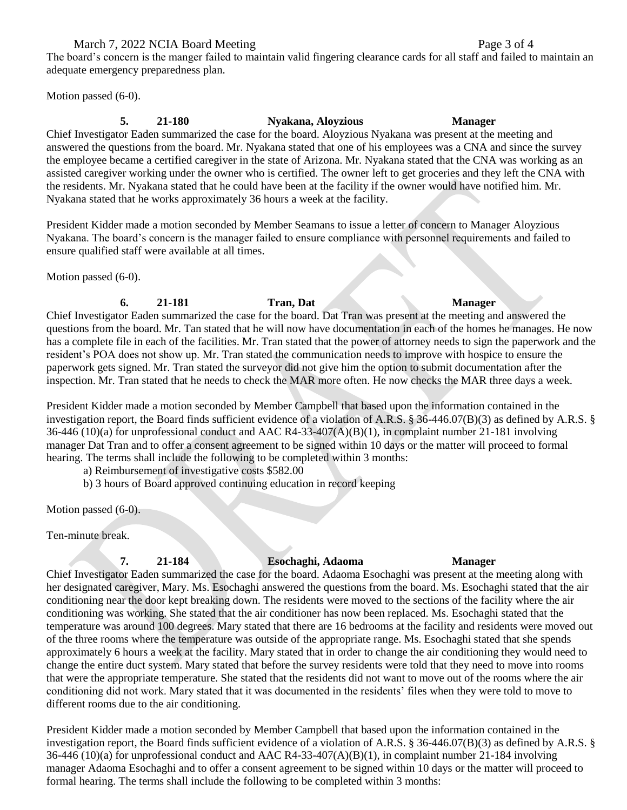#### March 7, 2022 NCIA Board Meeting

The board's concern is the manger failed to maintain valid fingering clearance cards for all staff and failed to maintain an adequate emergency preparedness plan.

Motion passed (6-0).

## **5. 21-180 Nyakana, Aloyzious Manager**

Chief Investigator Eaden summarized the case for the board. Aloyzious Nyakana was present at the meeting and answered the questions from the board. Mr. Nyakana stated that one of his employees was a CNA and since the survey the employee became a certified caregiver in the state of Arizona. Mr. Nyakana stated that the CNA was working as an assisted caregiver working under the owner who is certified. The owner left to get groceries and they left the CNA with the residents. Mr. Nyakana stated that he could have been at the facility if the owner would have notified him. Mr. Nyakana stated that he works approximately 36 hours a week at the facility.

President Kidder made a motion seconded by Member Seamans to issue a letter of concern to Manager Aloyzious Nyakana. The board's concern is the manager failed to ensure compliance with personnel requirements and failed to ensure qualified staff were available at all times.

Motion passed (6-0).

#### **6. 21-181 Tran, Dat Manager** Chief Investigator Eaden summarized the case for the board. Dat Tran was present at the meeting and answered the questions from the board. Mr. Tan stated that he will now have documentation in each of the homes he manages. He now

has a complete file in each of the facilities. Mr. Tran stated that the power of attorney needs to sign the paperwork and the resident's POA does not show up. Mr. Tran stated the communication needs to improve with hospice to ensure the paperwork gets signed. Mr. Tran stated the surveyor did not give him the option to submit documentation after the inspection. Mr. Tran stated that he needs to check the MAR more often. He now checks the MAR three days a week.

President Kidder made a motion seconded by Member Campbell that based upon the information contained in the investigation report, the Board finds sufficient evidence of a violation of A.R.S. § 36-446.07(B)(3) as defined by A.R.S. §  $36-446$  (10)(a) for unprofessional conduct and AAC R4-33-407(A)(B)(1), in complaint number 21-181 involving manager Dat Tran and to offer a consent agreement to be signed within 10 days or the matter will proceed to formal hearing. The terms shall include the following to be completed within 3 months:

a) Reimbursement of investigative costs \$582.00

b) 3 hours of Board approved continuing education in record keeping

Motion passed (6-0).

Ten-minute break.

### **7. 21-184 Esochaghi, Adaoma Manager**

Chief Investigator Eaden summarized the case for the board. Adaoma Esochaghi was present at the meeting along with her designated caregiver, Mary. Ms. Esochaghi answered the questions from the board. Ms. Esochaghi stated that the air conditioning near the door kept breaking down. The residents were moved to the sections of the facility where the air conditioning was working. She stated that the air conditioner has now been replaced. Ms. Esochaghi stated that the temperature was around 100 degrees. Mary stated that there are 16 bedrooms at the facility and residents were moved out of the three rooms where the temperature was outside of the appropriate range. Ms. Esochaghi stated that she spends approximately 6 hours a week at the facility. Mary stated that in order to change the air conditioning they would need to change the entire duct system. Mary stated that before the survey residents were told that they need to move into rooms that were the appropriate temperature. She stated that the residents did not want to move out of the rooms where the air conditioning did not work. Mary stated that it was documented in the residents' files when they were told to move to different rooms due to the air conditioning.

President Kidder made a motion seconded by Member Campbell that based upon the information contained in the investigation report, the Board finds sufficient evidence of a violation of A.R.S. § 36-446.07(B)(3) as defined by A.R.S. § 36-446 (10)(a) for unprofessional conduct and AAC R4-33-407(A)(B)(1), in complaint number 21-184 involving manager Adaoma Esochaghi and to offer a consent agreement to be signed within 10 days or the matter will proceed to formal hearing. The terms shall include the following to be completed within 3 months:

Page 3 of 4